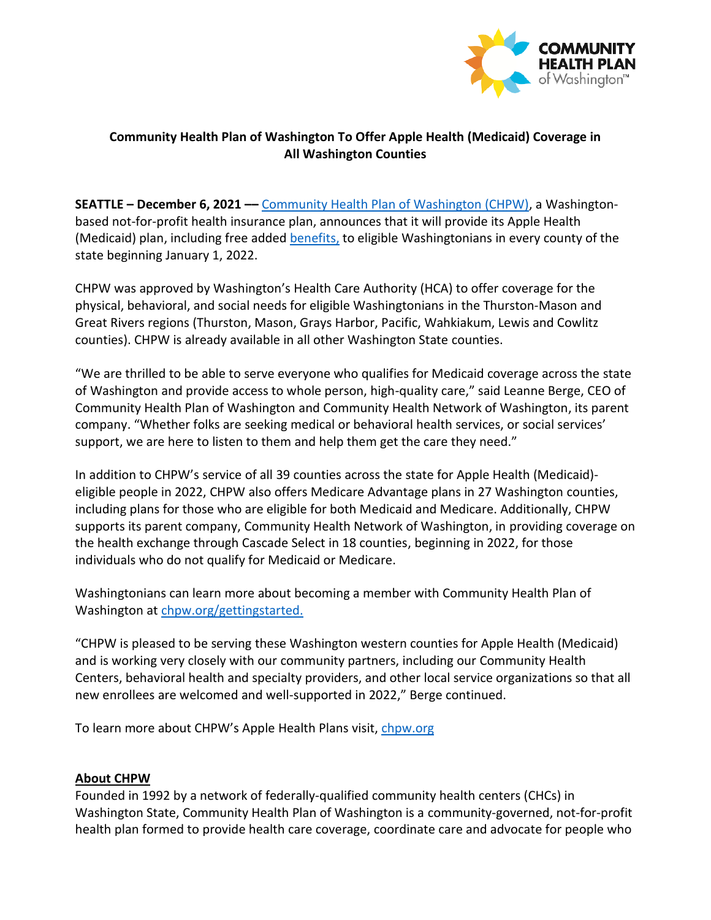

## **Community Health Plan of Washington To Offer Apple Health (Medicaid) Coverage in All Washington Counties**

**SEATTLE – December 6, 2021 ––** [Community Health Plan of Washington \(CHPW\),](http://www.chpw.org/) a Washingtonbased not-for-profit health insurance plan, announces that it will provide its Apple Health (Medicaid) plan, including free [added benefits,](https://www.chpw.org/chpw-benefits-plus/) to eligible Washingtonians in every county of the state beginning January 1, 2022.

CHPW was approved by Washington's Health Care Authority (HCA) to offer coverage for the physical, behavioral, and social needs for eligible Washingtonians in the Thurston-Mason and Great Rivers regions (Thurston, Mason, Grays Harbor, Pacific, Wahkiakum, Lewis and Cowlitz counties). CHPW is already available in all other Washington State counties.

"We are thrilled to be able to serve everyone who qualifies for Medicaid coverage across the state of Washington and provide access to whole person, high-quality care," said Leanne Berge, CEO of Community Health Plan of Washington and Community Health Network of Washington, its parent company. "Whether folks are seeking medical or behavioral health services, or social services' support, we are here to listen to them and help them get the care they need."

In addition to CHPW's service of all 39 counties across the state for Apple Health (Medicaid) eligible people in 2022, CHPW also offers Medicare Advantage plans in 27 Washington counties, including plans for those who are eligible for both Medicaid and Medicare. Additionally, CHPW supports its parent company, Community Health Network of Washington, in providing coverage on the health exchange through Cascade Select in 18 counties, beginning in 2022, for those individuals who do not qualify for Medicaid or Medicare.

Washingtonians can learn more about becoming a member with Community Health Plan of Washington at [chpw.org/gettingstarted.](file:///C:/Users/meg.olberding/AppData/Local/Microsoft/Windows/INetCache/Content.Outlook/77WPIUVG/chpw.org/gettingstarted)

"CHPW is pleased to be serving these Washington western counties for Apple Health (Medicaid) and is working very closely with our community partners, including our Community Health Centers, behavioral health and specialty providers, and other local service organizations so that all new enrollees are welcomed and well-supported in 2022," Berge continued.

To learn more about CHPW's Apple Health Plans visit, [chpw.org](https://www.chpw.org/home-highlights/getting-started/)

## **About CHPW**

Founded in 1992 by a network of federally-qualified community health centers (CHCs) in Washington State, Community Health Plan of Washington is a community-governed, not-for-profit health plan formed to provide health care coverage, coordinate care and advocate for people who